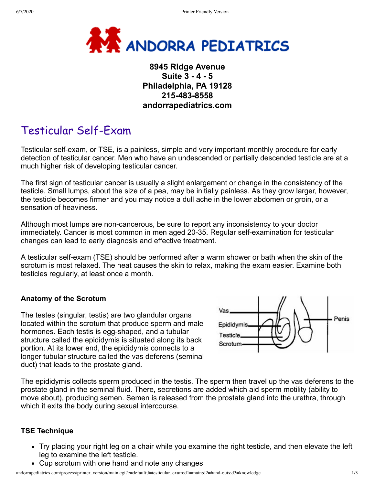

## **8945 Ridge Avenue Suite 3 - 4 - 5 Philadelphia, PA 19128 215-483-8558 andorrapediatrics.com**

# Testicular Self-Exam

Testicular self-exam, or TSE, is a painless, simple and very important monthly procedure for early detection of testicular cancer. Men who have an undescended or partially descended testicle are at a much higher risk of developing testicular cancer.

The first sign of testicular cancer is usually a slight enlargement or change in the consistency of the testicle. Small lumps, about the size of a pea, may be initially painless. As they grow larger, however, the testicle becomes firmer and you may notice a dull ache in the lower abdomen or groin, or a sensation of heaviness.

Although most lumps are non-cancerous, be sure to report any inconsistency to your doctor immediately. Cancer is most common in men aged 20-35. Regular self-examination for testicular changes can lead to early diagnosis and effective treatment.

A testicular self-exam (TSE) should be performed after a warm shower or bath when the skin of the scrotum is most relaxed. The heat causes the skin to relax, making the exam easier. Examine both testicles regularly, at least once a month.

### **Anatomy of the Scrotum**

The testes (singular, testis) are two glandular organs located within the scrotum that produce sperm and male hormones. Each testis is egg-shaped, and a tubular structure called the epididymis is situated along its back portion. At its lower end, the epididymis connects to a longer tubular structure called the vas deferens (seminal duct) that leads to the prostate gland.



The epididymis collects sperm produced in the testis. The sperm then travel up the vas deferens to the prostate gland in the seminal fluid. There, secretions are added which aid sperm motility (ability to move about), producing semen. Semen is released from the prostate gland into the urethra, through which it exits the body during sexual intercourse.

#### **TSE Technique**

- Try placing your right leg on a chair while you examine the right testicle, and then elevate the left leg to examine the left testicle.
- Cup scrotum with one hand and note any changes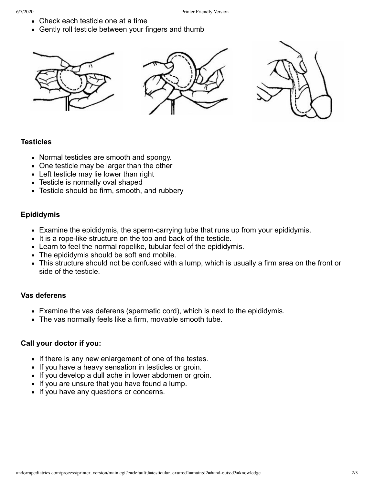- Check each testicle one at a time
- Gently roll testicle between your fingers and thumb



#### **Testicles**

- Normal testicles are smooth and spongy.
- One testicle may be larger than the other
- Left testicle may lie lower than right
- Testicle is normally oval shaped
- Testicle should be firm, smooth, and rubbery

#### **Epididymis**

- Examine the epididymis, the sperm-carrying tube that runs up from your epididymis.
- It is a rope-like structure on the top and back of the testicle.
- Learn to feel the normal ropelike, tubular feel of the epididymis.
- The epididymis should be soft and mobile.
- This structure should not be confused with a lump, which is usually a firm area on the front or side of the testicle.

#### **Vas deferens**

- Examine the vas deferens (spermatic cord), which is next to the epididymis.
- The vas normally feels like a firm, movable smooth tube.

#### **Call your doctor if you:**

- If there is any new enlargement of one of the testes.
- If you have a heavy sensation in testicles or groin.
- If you develop a dull ache in lower abdomen or groin.
- If you are unsure that you have found a lump.
- If you have any questions or concerns.